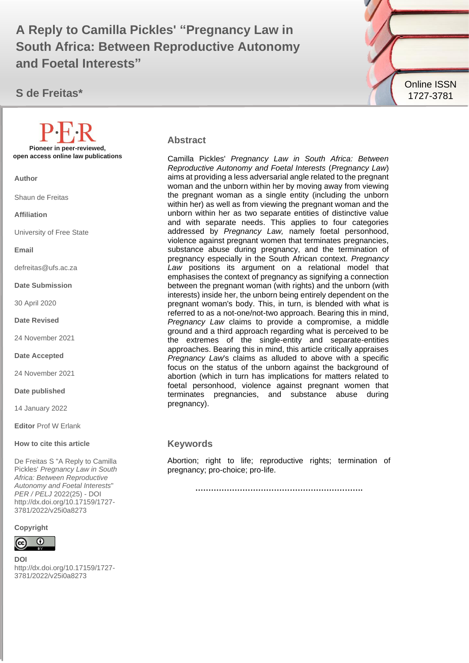S DE FREITAS PER / PELJ 2022 (25) 1 **A Reply to Camilla Pickles' "Pregnancy Law in South Africa: Between Reproductive Autonomy and Foetal Interests"**

**S de Freitas\***



#### **Abstract**

Camilla Pickles' *Pregnancy Law in South Africa: Between Reproductive Autonomy and Foetal Interests* (*Pregnancy Law*) aims at providing a less adversarial angle related to the pregnant woman and the unborn within her by moving away from viewing the pregnant woman as a single entity (including the unborn within her) as well as from viewing the pregnant woman and the unborn within her as two separate entities of distinctive value and with separate needs. This applies to four categories addressed by *Pregnancy Law,* namely foetal personhood, violence against pregnant women that terminates pregnancies, substance abuse during pregnancy, and the termination of pregnancy especially in the South African context. *Pregnancy Law* positions its argument on a relational model that emphasises the context of pregnancy as signifying a connection between the pregnant woman (with rights) and the unborn (with interests) inside her, the unborn being entirely dependent on the pregnant woman's body. This, in turn, is blended with what is referred to as a not-one/not-two approach. Bearing this in mind, *Pregnancy Law* claims to provide a compromise, a middle ground and a third approach regarding what is perceived to be the extremes of the single-entity and separate-entities approaches. Bearing this in mind, this article critically appraises *Pregnancy Law*'s claims as alluded to above with a specific focus on the status of the unborn against the background of abortion (which in turn has implications for matters related to foetal personhood, violence against pregnant women that terminates pregnancies, and substance abuse during pregnancy).

#### **Keywords**

Abortion; right to life; reproductive rights; termination of pregnancy; pro-choice; pro-life.

**……………………………………………………….**

**Pioneer in peer-reviewed, open access online law publications**

**Author**

Shaun de Freitas

**Affiliation**

University of Free State

**Email**

defreitas@ufs.ac.za

**Date Submission**

30 April 2020

**Date Revised**

24 November 2021

**Date Accepted**

24 November 2021

**Date published**

14 January 2022

**Editor** Prof W Erlank

#### **How to cite this article**

De Freitas S "A Reply to Camilla Pickles' *Pregnancy Law in South Africa: Between Reproductive Autonomy and Foetal Interests*" *PER / PELJ* 2022(25) - DOI http://dx.doi.org/10.17159/1727- 3781/2022/v25i0a8273

**Copyright**



**DOI**  http://dx.doi.org/10.17159/1727- 3781/2022/v25i0a8273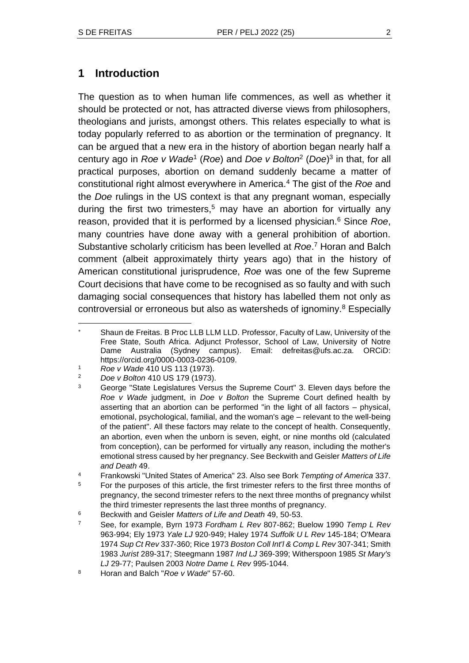## **1 Introduction**

The question as to when human life commences, as well as whether it should be protected or not, has attracted diverse views from philosophers, theologians and jurists, amongst others. This relates especially to what is today popularly referred to as abortion or the termination of pregnancy. It can be argued that a new era in the history of abortion began nearly half a century ago in *Roe v Wade*<sup>1</sup> (*Roe*) and *Doe v Bolton*<sup>2</sup> (*Doe*) 3 in that, for all practical purposes, abortion on demand suddenly became a matter of constitutional right almost everywhere in America.<sup>4</sup> The gist of the *Roe* and the *Doe* rulings in the US context is that any pregnant woman, especially during the first two trimesters,<sup>5</sup> may have an abortion for virtually any reason, provided that it is performed by a licensed physician.<sup>6</sup> Since *Roe*, many countries have done away with a general prohibition of abortion. Substantive scholarly criticism has been levelled at *Roe*. <sup>7</sup> Horan and Balch comment (albeit approximately thirty years ago) that in the history of American constitutional jurisprudence, *Roe* was one of the few Supreme Court decisions that have come to be recognised as so faulty and with such damaging social consequences that history has labelled them not only as controversial or erroneous but also as watersheds of ignominy.<sup>8</sup> Especially

Shaun de Freitas. B Proc LLB LLM LLD. Professor, Faculty of Law, University of the Free State, South Africa. Adjunct Professor, School of Law, University of Notre Dame Australia (Sydney campus). Email: defreitas@ufs.ac.za. ORCiD: https://orcid.org/0000-0003-0236-0109.

<sup>1</sup> *Roe v Wade* 410 US 113 (1973).

<sup>2</sup> *Doe v Bolton* 410 US 179 (1973).

<sup>3</sup> George "State Legislatures Versus the Supreme Court" 3. Eleven days before the *Roe v Wade* judgment, in *Doe v Bolton* the Supreme Court defined health by asserting that an abortion can be performed "in the light of all factors – physical, emotional, psychological, familial, and the woman's age – relevant to the well-being of the patient". All these factors may relate to the concept of health. Consequently, an abortion, even when the unborn is seven, eight, or nine months old (calculated from conception), can be performed for virtually any reason, including the mother's emotional stress caused by her pregnancy. See Beckwith and Geisler *Matters of Life and Death* 49.

<sup>4</sup> Frankowski "United States of America" 23. Also see Bork *Tempting of America* 337.

<sup>&</sup>lt;sup>5</sup> For the purposes of this article, the first trimester refers to the first three months of pregnancy, the second trimester refers to the next three months of pregnancy whilst the third trimester represents the last three months of pregnancy.

<sup>6</sup> Beckwith and Geisler *Matters of Life and Death* 49, 50-53.

<sup>7</sup> See, for example, Byrn 1973 *Fordham L Rev* 807-862; Buelow 1990 *Temp L Rev*  963-994; Ely 1973 *Yale LJ* 920-949; Haley 1974 *Suffolk U L Rev* 145-184; O'Meara 1974 *Sup Ct Rev* 337-360; Rice 1973 *Boston Coll Int'l & Comp L Rev* 307-341; Smith 1983 *Jurist* 289-317; Steegmann 1987 *Ind LJ* 369-399; Witherspoon 1985 *St Mary's LJ* 29-77; Paulsen 2003 *Notre Dame L Rev* 995-1044.

<sup>8</sup> Horan and Balch "*Roe v Wade*" 57-60.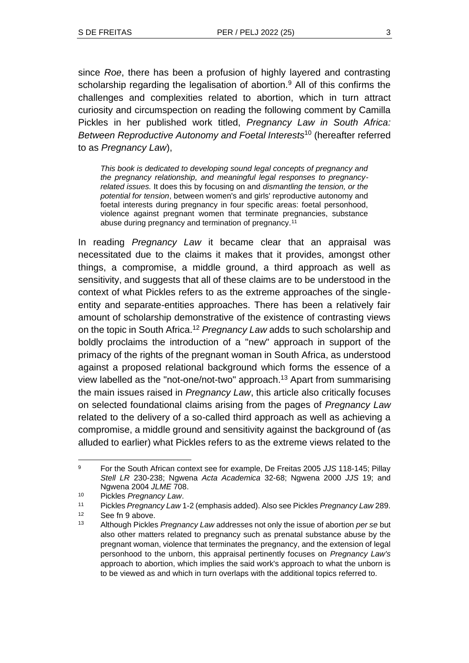since *Roe*, there has been a profusion of highly layered and contrasting scholarship regarding the legalisation of abortion.<sup>9</sup> All of this confirms the challenges and complexities related to abortion, which in turn attract curiosity and circumspection on reading the following comment by Camilla Pickles in her published work titled, *Pregnancy Law in South Africa: Between Reproductive Autonomy and Foetal Interests*<sup>10</sup> (hereafter referred to as *Pregnancy Law*),

*This book is dedicated to developing sound legal concepts of pregnancy and the pregnancy relationship, and meaningful legal responses to pregnancyrelated issues.* It does this by focusing on and *dismantling the tension, or the potential for tension*, between women's and girls' reproductive autonomy and foetal interests during pregnancy in four specific areas: foetal personhood, violence against pregnant women that terminate pregnancies, substance abuse during pregnancy and termination of pregnancy.<sup>11</sup>

In reading *Pregnancy Law* it became clear that an appraisal was necessitated due to the claims it makes that it provides, amongst other things, a compromise, a middle ground, a third approach as well as sensitivity, and suggests that all of these claims are to be understood in the context of what Pickles refers to as the extreme approaches of the singleentity and separate-entities approaches. There has been a relatively fair amount of scholarship demonstrative of the existence of contrasting views on the topic in South Africa.<sup>12</sup> *Pregnancy Law* adds to such scholarship and boldly proclaims the introduction of a "new" approach in support of the primacy of the rights of the pregnant woman in South Africa, as understood against a proposed relational background which forms the essence of a view labelled as the "not-one/not-two" approach.<sup>13</sup> Apart from summarising the main issues raised in *Pregnancy Law*, this article also critically focuses on selected foundational claims arising from the pages of *Pregnancy Law* related to the delivery of a so-called third approach as well as achieving a compromise, a middle ground and sensitivity against the background of (as alluded to earlier) what Pickles refers to as the extreme views related to the

<sup>11</sup> Pickles *Pregnancy Law* 1-2 (emphasis added). Also see Pickles *Pregnancy Law* 289.

<sup>9</sup> For the South African context see for example, De Freitas 2005 *JJS* 118-145; Pillay *Stell LR* 230-238; Ngwena *Acta Academica* 32-68; Ngwena 2000 *JJS* 19; and Ngwena 2004 *JLME* 708.

<sup>10</sup> Pickles *Pregnancy Law*.

 $12$  See fn 9 above.<br> $13$  Although Biokles

<sup>13</sup> Although Pickles *Pregnancy Law* addresses not only the issue of abortion *per se* but also other matters related to pregnancy such as prenatal substance abuse by the pregnant woman, violence that terminates the pregnancy, and the extension of legal personhood to the unborn, this appraisal pertinently focuses on *Pregnancy Law's* approach to abortion, which implies the said work's approach to what the unborn is to be viewed as and which in turn overlaps with the additional topics referred to.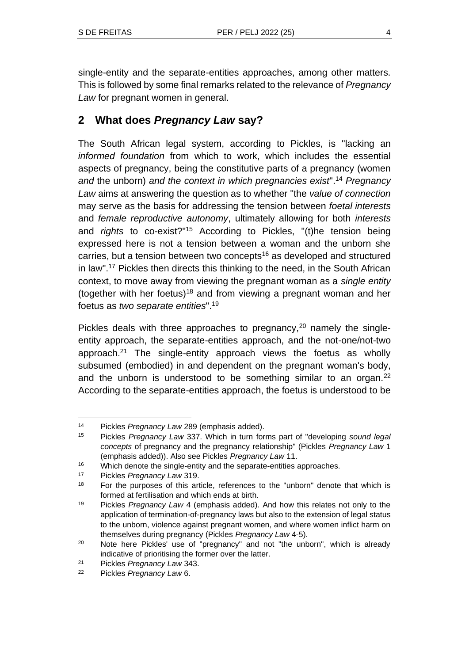single-entity and the separate-entities approaches, among other matters. This is followed by some final remarks related to the relevance of *Pregnancy Law* for pregnant women in general.

# **2 What does** *Pregnancy Law* **say?**

The South African legal system, according to Pickles, is "lacking an *informed foundation* from which to work, which includes the essential aspects of pregnancy, being the constitutive parts of a pregnancy (women *and* the unborn) *and the context in which pregnancies exist*".<sup>14</sup> *Pregnancy Law* aims at answering the question as to whether "the *value of connection* may serve as the basis for addressing the tension between *foetal interests* and *female reproductive autonomy*, ultimately allowing for both *interests* and *rights* to co-exist?" <sup>15</sup> According to Pickles, "(t)he tension being expressed here is not a tension between a woman and the unborn she carries, but a tension between two concepts<sup>16</sup> as developed and structured in law". <sup>17</sup> Pickles then directs this thinking to the need, in the South African context, to move away from viewing the pregnant woman as a *single entity* (together with her foetus)<sup>18</sup> and from viewing a pregnant woman and her foetus as *two separate entities*".<sup>19</sup>

Pickles deals with three approaches to pregnancy, $20$  namely the singleentity approach, the separate-entities approach, and the not-one/not-two approach.<sup>21</sup> The single-entity approach views the foetus as wholly subsumed (embodied) in and dependent on the pregnant woman's body, and the unborn is understood to be something similar to an organ.<sup>22</sup> According to the separate-entities approach, the foetus is understood to be

<sup>14</sup> Pickles *Pregnancy Law* 289 (emphasis added).

<sup>15</sup> Pickles *Pregnancy Law* 337. Which in turn forms part of "developing *sound legal concepts* of pregnancy and the pregnancy relationship" (Pickles *Pregnancy Law* 1 (emphasis added)). Also see Pickles *Pregnancy Law* 11.

<sup>&</sup>lt;sup>16</sup> Which denote the single-entity and the separate-entities approaches.

<sup>17</sup> Pickles *Pregnancy Law* 319.

<sup>&</sup>lt;sup>18</sup> For the purposes of this article, references to the "unborn" denote that which is formed at fertilisation and which ends at birth.

<sup>19</sup> Pickles *Pregnancy Law* 4 (emphasis added). And how this relates not only to the application of termination-of-pregnancy laws but also to the extension of legal status to the unborn, violence against pregnant women, and where women inflict harm on themselves during pregnancy (Pickles *Pregnancy Law* 4-5).

<sup>&</sup>lt;sup>20</sup> Note here Pickles' use of "pregnancy" and not "the unborn", which is already indicative of prioritising the former over the latter.

<sup>21</sup> Pickles *Pregnancy Law* 343.

<sup>22</sup> Pickles *Pregnancy Law* 6.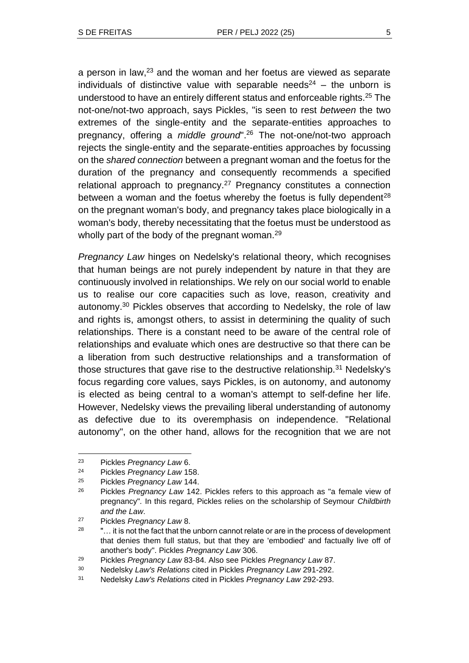a person in law,<sup>23</sup> and the woman and her foetus are viewed as separate individuals of distinctive value with separable needs<sup>24</sup> – the unborn is understood to have an entirely different status and enforceable rights.<sup>25</sup> The not-one/not-two approach, says Pickles, "is seen to rest *between* the two extremes of the single-entity and the separate-entities approaches to pregnancy, offering a *middle ground*".<sup>26</sup> The not-one/not-two approach rejects the single-entity and the separate-entities approaches by focussing on the *shared connection* between a pregnant woman and the foetus for the duration of the pregnancy and consequently recommends a specified relational approach to pregnancy.<sup>27</sup> Pregnancy constitutes a connection between a woman and the foetus whereby the foetus is fully dependent<sup>28</sup> on the pregnant woman's body, and pregnancy takes place biologically in a woman's body, thereby necessitating that the foetus must be understood as wholly part of the body of the pregnant woman.<sup>29</sup>

*Pregnancy Law* hinges on Nedelsky's relational theory, which recognises that human beings are not purely independent by nature in that they are continuously involved in relationships. We rely on our social world to enable us to realise our core capacities such as love, reason, creativity and autonomy.<sup>30</sup> Pickles observes that according to Nedelsky, the role of law and rights is, amongst others, to assist in determining the quality of such relationships. There is a constant need to be aware of the central role of relationships and evaluate which ones are destructive so that there can be a liberation from such destructive relationships and a transformation of those structures that gave rise to the destructive relationship.<sup>31</sup> Nedelsky's focus regarding core values, says Pickles, is on autonomy, and autonomy is elected as being central to a woman's attempt to self-define her life. However, Nedelsky views the prevailing liberal understanding of autonomy as defective due to its overemphasis on independence. "Relational autonomy", on the other hand, allows for the recognition that we are not

<sup>23</sup> Pickles *Pregnancy Law* 6.

<sup>24</sup> Pickles *Pregnancy Law* 158.

<sup>25</sup> Pickles *Pregnancy Law* 144.

<sup>26</sup> Pickles *Pregnancy Law* 142. Pickles refers to this approach as "a female view of pregnancy"*.* In this regard, Pickles relies on the scholarship of Seymour *Childbirth and the Law*.

<sup>27</sup> Pickles *Pregnancy Law* 8.

 $28$   $\ldots$  it is not the fact that the unborn cannot relate or are in the process of development that denies them full status, but that they are 'embodied' and factually live off of another's body". Pickles *Pregnancy Law* 306.

<sup>29</sup> Pickles *Pregnancy Law* 83-84. Also see Pickles *Pregnancy Law* 87.

<sup>30</sup> Nedelsky *Law's Relations* cited in Pickles *Pregnancy Law* 291-292.

<sup>31</sup> Nedelsky *Law's Relations* cited in Pickles *Pregnancy Law* 292-293.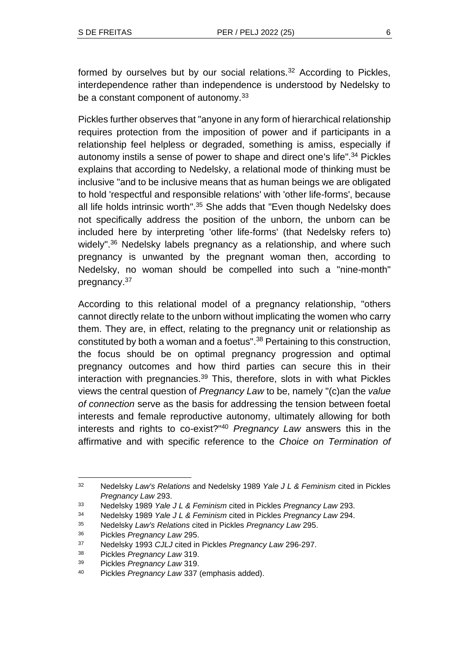formed by ourselves but by our social relations.<sup>32</sup> According to Pickles, interdependence rather than independence is understood by Nedelsky to be a constant component of autonomy.<sup>33</sup>

Pickles further observes that "anyone in any form of hierarchical relationship requires protection from the imposition of power and if participants in a relationship feel helpless or degraded, something is amiss, especially if autonomy instils a sense of power to shape and direct one's life". <sup>34</sup> Pickles explains that according to Nedelsky, a relational mode of thinking must be inclusive "and to be inclusive means that as human beings we are obligated to hold 'respectful and responsible relations' with 'other life-forms', because all life holds intrinsic worth".<sup>35</sup> She adds that "Even though Nedelsky does not specifically address the position of the unborn, the unborn can be included here by interpreting 'other life-forms' (that Nedelsky refers to) widely".<sup>36</sup> Nedelsky labels pregnancy as a relationship, and where such pregnancy is unwanted by the pregnant woman then, according to Nedelsky, no woman should be compelled into such a "nine-month" pregnancy.<sup>37</sup>

According to this relational model of a pregnancy relationship, "others cannot directly relate to the unborn without implicating the women who carry them. They are, in effect, relating to the pregnancy unit or relationship as constituted by both a woman and a foetus".<sup>38</sup> Pertaining to this construction, the focus should be on optimal pregnancy progression and optimal pregnancy outcomes and how third parties can secure this in their interaction with pregnancies.<sup>39</sup> This, therefore, slots in with what Pickles views the central question of *Pregnancy Law* to be, namely "(c)an the *value of connection* serve as the basis for addressing the tension between foetal interests and female reproductive autonomy, ultimately allowing for both interests and rights to co-exist?" <sup>40</sup> *Pregnancy Law* answers this in the affirmative and with specific reference to the *Choice on Termination of* 

<sup>32</sup> Nedelsky *Law's Relations* and Nedelsky 1989 *Yale J L & Feminism* cited in Pickles *Pregnancy Law* 293.

<sup>33</sup> Nedelsky 1989 *Yale J L & Feminism* cited in Pickles *Pregnancy Law* 293.

<sup>34</sup> Nedelsky 1989 *Yale J L & Feminism* cited in Pickles *Pregnancy Law* 294.

<sup>35</sup> Nedelsky *Law's Relations* cited in Pickles *Pregnancy Law* 295.

<sup>36</sup> Pickles *Pregnancy Law* 295.

<sup>37</sup> Nedelsky 1993 *CJLJ* cited in Pickles *Pregnancy Law* 296-297.

<sup>38</sup> Pickles *Pregnancy Law* 319.

<sup>39</sup> Pickles *Pregnancy Law* 319.

<sup>40</sup> Pickles *Pregnancy Law* 337 (emphasis added).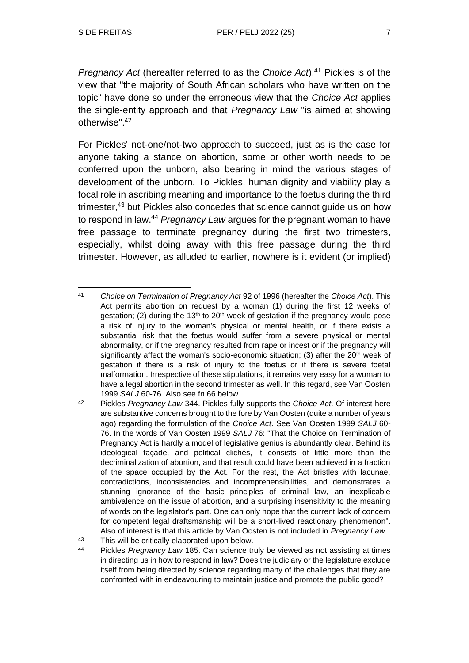*Pregnancy Act* (hereafter referred to as the *Choice Act*).<sup>41</sup> Pickles is of the view that "the majority of South African scholars who have written on the topic" have done so under the erroneous view that the *Choice Act* applies the single-entity approach and that *Pregnancy Law* "is aimed at showing otherwise". 42

For Pickles' not-one/not-two approach to succeed, just as is the case for anyone taking a stance on abortion, some or other worth needs to be conferred upon the unborn, also bearing in mind the various stages of development of the unborn. To Pickles, human dignity and viability play a focal role in ascribing meaning and importance to the foetus during the third trimester,<sup>43</sup> but Pickles also concedes that science cannot guide us on how to respond in law.<sup>44</sup> *Pregnancy Law* argues for the pregnant woman to have free passage to terminate pregnancy during the first two trimesters, especially, whilst doing away with this free passage during the third trimester. However, as alluded to earlier, nowhere is it evident (or implied)

43 This will be critically elaborated upon below.<br>44 Bickles Prognapov Law 185, Cap science to

<sup>41</sup> *Choice on Termination of Pregnancy Act* 92 of 1996 (hereafter the *Choice Act*). This Act permits abortion on request by a woman (1) during the first 12 weeks of gestation; (2) during the 13<sup>th</sup> to 20<sup>th</sup> week of gestation if the pregnancy would pose a risk of injury to the woman's physical or mental health, or if there exists a substantial risk that the foetus would suffer from a severe physical or mental abnormality, or if the pregnancy resulted from rape or incest or if the pregnancy will significantly affect the woman's socio-economic situation;  $(3)$  after the  $20<sup>th</sup>$  week of gestation if there is a risk of injury to the foetus or if there is severe foetal malformation. Irrespective of these stipulations, it remains very easy for a woman to have a legal abortion in the second trimester as well. In this regard, see Van Oosten 1999 *SALJ* 60-76. Also see fn 66 below.

<sup>42</sup> Pickles *Pregnancy Law* 344. Pickles fully supports the *Choice Act*. Of interest here are substantive concerns brought to the fore by Van Oosten (quite a number of years ago) regarding the formulation of the *Choice Act*. See Van Oosten 1999 *SALJ* 60- 76. In the words of Van Oosten 1999 *SALJ* 76: "That the Choice on Termination of Pregnancy Act is hardly a model of legislative genius is abundantly clear. Behind its ideological façade, and political clichés, it consists of little more than the decriminalization of abortion, and that result could have been achieved in a fraction of the space occupied by the Act. For the rest, the Act bristles with lacunae, contradictions, inconsistencies and incomprehensibilities, and demonstrates a stunning ignorance of the basic principles of criminal law, an inexplicable ambivalence on the issue of abortion, and a surprising insensitivity to the meaning of words on the legislator's part. One can only hope that the current lack of concern for competent legal draftsmanship will be a short-lived reactionary phenomenon". Also of interest is that this article by Van Oosten is not included in *Pregnancy Law*.

<sup>44</sup> Pickles *Pregnancy Law* 185. Can science truly be viewed as not assisting at times in directing us in how to respond in law? Does the judiciary or the legislature exclude itself from being directed by science regarding many of the challenges that they are confronted with in endeavouring to maintain justice and promote the public good?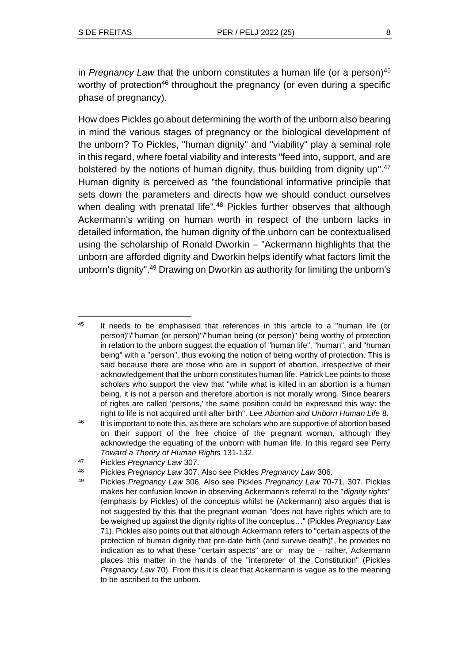in *Pregnancy Law* that the unborn constitutes a human life (or a person)<sup>45</sup> worthy of protection<sup>46</sup> throughout the pregnancy (or even during a specific phase of pregnancy).

How does Pickles go about determining the worth of the unborn also bearing in mind the various stages of pregnancy or the biological development of the unborn? To Pickles, "human dignity" and "viability" play a seminal role in this regard, where foetal viability and interests "feed into, support, and are bolstered by the notions of human dignity, thus building from dignity up".<sup>47</sup> Human dignity is perceived as "the foundational informative principle that sets down the parameters and directs how we should conduct ourselves when dealing with prenatal life".<sup>48</sup> Pickles further observes that although Ackermann's writing on human worth in respect of the unborn lacks in detailed information, the human dignity of the unborn can be contextualised using the scholarship of Ronald Dworkin – "Ackermann highlights that the unborn are afforded dignity and Dworkin helps identify what factors limit the unborn's dignity". <sup>49</sup> Drawing on Dworkin as authority for limiting the unborn's

<sup>&</sup>lt;sup>45</sup> It needs to be emphasised that references in this article to a "human life (or person)"/"human (or person)"/"human being (or person)" being worthy of protection in relation to the unborn suggest the equation of "human life", "human", and "human being" with a "person", thus evoking the notion of being worthy of protection. This is said because there are those who are in support of abortion, irrespective of their acknowledgement that the unborn constitutes human life. Patrick Lee points to those scholars who support the view that "while what is killed in an abortion is a human being, it is not a person and therefore abortion is not morally wrong. Since bearers of rights are called 'persons,' the same position could be expressed this way: the right to life is not acquired until after birth". Lee *Abortion and Unborn Human Life* 8.

<sup>&</sup>lt;sup>46</sup> It is important to note this, as there are scholars who are supportive of abortion based on their support of the free choice of the pregnant woman, although they acknowledge the equating of the unborn with human life. In this regard see Perry *Toward a Theory of Human Rights* 131-132.

<sup>47</sup> Pickles *Pregnancy Law* 307.

<sup>48</sup> Pickles *Pregnancy Law* 307. Also see Pickles *Pregnancy Law* 306.

<sup>49</sup> Pickles *Pregnancy Law* 306. Also see Pickles *Pregnancy Law* 70-71, 307. Pickles makes her confusion known in observing Ackermann's referral to the "*dignity rights*" (emphasis by Pickles) of the conceptus whilst he (Ackermann) also argues that is not suggested by this that the pregnant woman "does not have rights which are to be weighed up against the dignity rights of the conceptus…" (Pickles *Pregnancy Law* 71). Pickles also points out that although Ackermann refers to "certain aspects of the protection of human dignity that pre-date birth (and survive death)", he provides no indication as to what these "certain aspects" are or may be – rather, Ackermann places this matter in the hands of the "interpreter of the Constitution" (Pickles *Pregnancy Law* 70). From this it is clear that Ackermann is vague as to the meaning to be ascribed to the unborn.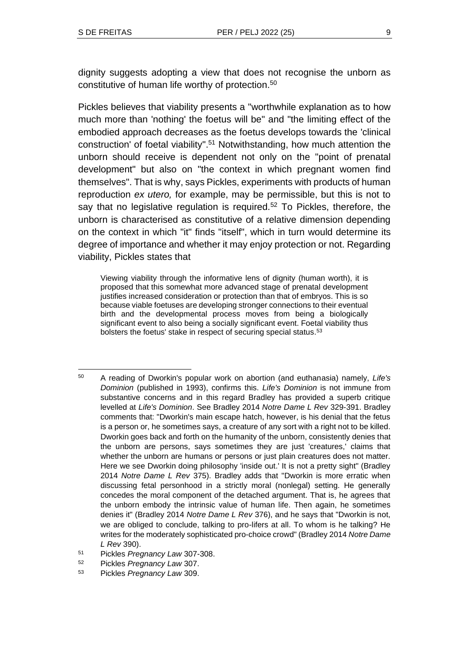dignity suggests adopting a view that does not recognise the unborn as constitutive of human life worthy of protection.<sup>50</sup>

Pickles believes that viability presents a "worthwhile explanation as to how much more than 'nothing' the foetus will be" and "the limiting effect of the embodied approach decreases as the foetus develops towards the 'clinical construction' of foetal viability". <sup>51</sup> Notwithstanding, how much attention the unborn should receive is dependent not only on the "point of prenatal development" but also on "the context in which pregnant women find themselves". That is why, says Pickles, experiments with products of human reproduction *ex utero,* for example, may be permissible, but this is not to say that no legislative regulation is required.<sup>52</sup> To Pickles, therefore, the unborn is characterised as constitutive of a relative dimension depending on the context in which "it" finds "itself", which in turn would determine its degree of importance and whether it may enjoy protection or not. Regarding viability, Pickles states that

Viewing viability through the informative lens of dignity (human worth), it is proposed that this somewhat more advanced stage of prenatal development justifies increased consideration or protection than that of embryos. This is so because viable foetuses are developing stronger connections to their eventual birth and the developmental process moves from being a biologically significant event to also being a socially significant event. Foetal viability thus bolsters the foetus' stake in respect of securing special status.<sup>53</sup>

<sup>51</sup> Pickles *Pregnancy Law* 307-308.

<sup>50</sup> A reading of Dworkin's popular work on abortion (and euthanasia) namely, *Life's Dominion* (published in 1993), confirms this. *Life's Dominion* is not immune from substantive concerns and in this regard Bradley has provided a superb critique levelled at *Life's Dominion*. See Bradley 2014 *Notre Dame L Rev* 329-391. Bradley comments that: "Dworkin's main escape hatch, however, is his denial that the fetus is a person or, he sometimes says, a creature of any sort with a right not to be killed. Dworkin goes back and forth on the humanity of the unborn, consistently denies that the unborn are persons, says sometimes they are just 'creatures,' claims that whether the unborn are humans or persons or just plain creatures does not matter. Here we see Dworkin doing philosophy 'inside out.' It is not a pretty sight" (Bradley 2014 *Notre Dame L Rev* 375). Bradley adds that "Dworkin is more erratic when discussing fetal personhood in a strictly moral (nonlegal) setting. He generally concedes the moral component of the detached argument. That is, he agrees that the unborn embody the intrinsic value of human life. Then again, he sometimes denies it" (Bradley 2014 *Notre Dame L Rev* 376), and he says that "Dworkin is not, we are obliged to conclude, talking to pro-lifers at all. To whom is he talking? He writes for the moderately sophisticated pro-choice crowd" (Bradley 2014 *Notre Dame L Rev* 390).

<sup>52</sup> Pickles *Pregnancy Law* 307.

<sup>53</sup> Pickles *Pregnancy Law* 309.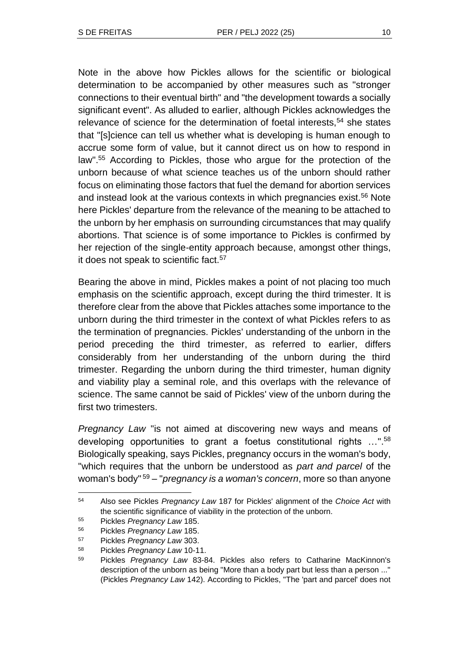Note in the above how Pickles allows for the scientific or biological determination to be accompanied by other measures such as "stronger connections to their eventual birth" and "the development towards a socially significant event". As alluded to earlier, although Pickles acknowledges the relevance of science for the determination of foetal interests,<sup>54</sup> she states that "[s]cience can tell us whether what is developing is human enough to accrue some form of value, but it cannot direct us on how to respond in law". <sup>55</sup> According to Pickles, those who argue for the protection of the unborn because of what science teaches us of the unborn should rather focus on eliminating those factors that fuel the demand for abortion services and instead look at the various contexts in which pregnancies exist.<sup>56</sup> Note here Pickles' departure from the relevance of the meaning to be attached to the unborn by her emphasis on surrounding circumstances that may qualify abortions. That science is of some importance to Pickles is confirmed by her rejection of the single-entity approach because, amongst other things, it does not speak to scientific fact.<sup>57</sup>

Bearing the above in mind, Pickles makes a point of not placing too much emphasis on the scientific approach, except during the third trimester. It is therefore clear from the above that Pickles attaches some importance to the unborn during the third trimester in the context of what Pickles refers to as the termination of pregnancies. Pickles' understanding of the unborn in the period preceding the third trimester, as referred to earlier, differs considerably from her understanding of the unborn during the third trimester. Regarding the unborn during the third trimester, human dignity and viability play a seminal role, and this overlaps with the relevance of science. The same cannot be said of Pickles' view of the unborn during the first two trimesters.

*Pregnancy Law* "is not aimed at discovering new ways and means of developing opportunities to grant a foetus constitutional rights …".<sup>58</sup> Biologically speaking, says Pickles, pregnancy occurs in the woman's body, "which requires that the unborn be understood as *part and parcel* of the woman's body" <sup>59</sup> – "*pregnancy is a woman's concern*, more so than anyone

<sup>54</sup> Also see Pickles *Pregnancy Law* 187 for Pickles' alignment of the *Choice Act* with the scientific significance of viability in the protection of the unborn.

<sup>55</sup> Pickles *Pregnancy Law* 185.

<sup>56</sup> Pickles *Pregnancy Law* 185.

<sup>57</sup> Pickles *Pregnancy Law* 303.

<sup>58</sup> Pickles *Pregnancy Law* 10-11.

<sup>59</sup> Pickles *Pregnancy Law* 83-84. Pickles also refers to Catharine MacKinnon's description of the unborn as being "More than a body part but less than a person ..." (Pickles *Pregnancy Law* 142). According to Pickles, "The 'part and parcel' does not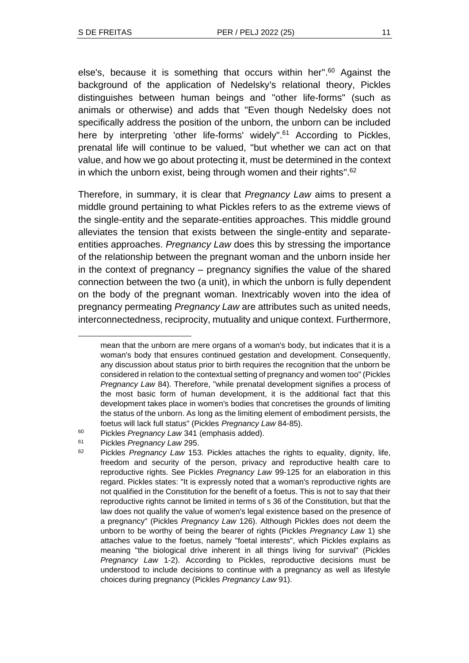else's, because it is something that occurs within her". <sup>60</sup> Against the background of the application of Nedelsky's relational theory, Pickles distinguishes between human beings and "other life-forms" (such as animals or otherwise) and adds that "Even though Nedelsky does not specifically address the position of the unborn, the unborn can be included here by interpreting 'other life-forms' widely".<sup>61</sup> According to Pickles, prenatal life will continue to be valued, "but whether we can act on that value, and how we go about protecting it, must be determined in the context in which the unborn exist, being through women and their rights".<sup>62</sup>

Therefore, in summary, it is clear that *Pregnancy Law* aims to present a middle ground pertaining to what Pickles refers to as the extreme views of the single-entity and the separate-entities approaches. This middle ground alleviates the tension that exists between the single-entity and separateentities approaches. *Pregnancy Law* does this by stressing the importance of the relationship between the pregnant woman and the unborn inside her in the context of pregnancy – pregnancy signifies the value of the shared connection between the two (a unit), in which the unborn is fully dependent on the body of the pregnant woman. Inextricably woven into the idea of pregnancy permeating *Pregnancy Law* are attributes such as united needs, interconnectedness, reciprocity, mutuality and unique context. Furthermore,

mean that the unborn are mere organs of a woman's body, but indicates that it is a woman's body that ensures continued gestation and development. Consequently, any discussion about status prior to birth requires the recognition that the unborn be considered in relation to the contextual setting of pregnancy and women too" (Pickles *Pregnancy Law* 84). Therefore, "while prenatal development signifies a process of the most basic form of human development, it is the additional fact that this development takes place in women's bodies that concretises the grounds of limiting the status of the unborn. As long as the limiting element of embodiment persists, the foetus will lack full status" (Pickles *Pregnancy Law* 84-85).

<sup>60</sup> Pickles *Pregnancy Law* 341 (emphasis added).

<sup>61</sup> Pickles *Pregnancy Law* 295.

<sup>62</sup> Pickles *Pregnancy Law* 153. Pickles attaches the rights to equality, dignity, life, freedom and security of the person, privacy and reproductive health care to reproductive rights. See Pickles *Pregnancy Law* 99-125 for an elaboration in this regard. Pickles states: "It is expressly noted that a woman's reproductive rights are not qualified in the Constitution for the benefit of a foetus. This is not to say that their reproductive rights cannot be limited in terms of s 36 of the Constitution, but that the law does not qualify the value of women's legal existence based on the presence of a pregnancy" (Pickles *Pregnancy Law* 126). Although Pickles does not deem the unborn to be worthy of being the bearer of rights (Pickles *Pregnancy Law* 1) she attaches value to the foetus, namely "foetal interests", which Pickles explains as meaning "the biological drive inherent in all things living for survival" (Pickles *Pregnancy Law* 1-2). According to Pickles, reproductive decisions must be understood to include decisions to continue with a pregnancy as well as lifestyle choices during pregnancy (Pickles *Pregnancy Law* 91).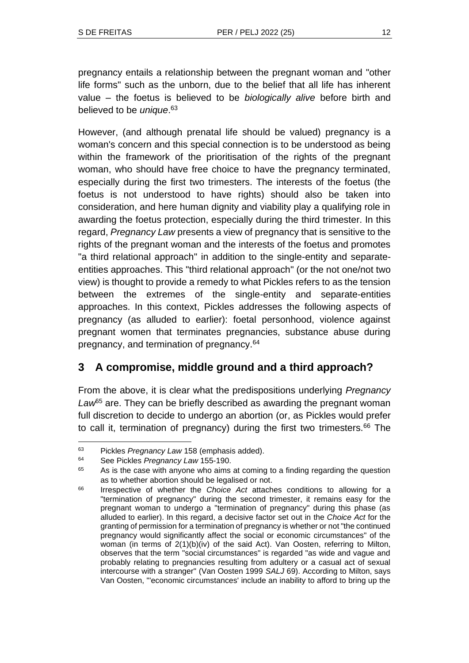pregnancy entails a relationship between the pregnant woman and "other life forms" such as the unborn, due to the belief that all life has inherent value – the foetus is believed to be *biologically alive* before birth and believed to be *unique*. 63

However, (and although prenatal life should be valued) pregnancy is a woman's concern and this special connection is to be understood as being within the framework of the prioritisation of the rights of the pregnant woman, who should have free choice to have the pregnancy terminated, especially during the first two trimesters. The interests of the foetus (the foetus is not understood to have rights) should also be taken into consideration, and here human dignity and viability play a qualifying role in awarding the foetus protection, especially during the third trimester. In this regard, *Pregnancy Law* presents a view of pregnancy that is sensitive to the rights of the pregnant woman and the interests of the foetus and promotes "a third relational approach" in addition to the single-entity and separateentities approaches. This "third relational approach" (or the not one/not two view) is thought to provide a remedy to what Pickles refers to as the tension between the extremes of the single-entity and separate-entities approaches. In this context, Pickles addresses the following aspects of pregnancy (as alluded to earlier): foetal personhood, violence against pregnant women that terminates pregnancies, substance abuse during pregnancy, and termination of pregnancy.<sup>64</sup>

# **3 A compromise, middle ground and a third approach?**

From the above, it is clear what the predispositions underlying *Pregnancy Law*<sup>65</sup> are. They can be briefly described as awarding the pregnant woman full discretion to decide to undergo an abortion (or, as Pickles would prefer to call it, termination of pregnancy) during the first two trimesters.<sup>66</sup> The

<sup>63</sup> Pickles *Pregnancy Law* 158 (emphasis added).

<sup>64</sup> See Pickles *Pregnancy Law* 155-190.

As is the case with anyone who aims at coming to a finding regarding the question as to whether abortion should be legalised or not.

<sup>66</sup> Irrespective of whether the *Choice Act* attaches conditions to allowing for a "termination of pregnancy" during the second trimester, it remains easy for the pregnant woman to undergo a "termination of pregnancy" during this phase (as alluded to earlier). In this regard, a decisive factor set out in the *Choice Act* for the granting of permission for a termination of pregnancy is whether or not "the continued pregnancy would significantly affect the social or economic circumstances" of the woman (in terms of 2(1)(b)(iv) of the said Act). Van Oosten, referring to Milton, observes that the term "social circumstances" is regarded "as wide and vague and probably relating to pregnancies resulting from adultery or a casual act of sexual intercourse with a stranger" (Van Oosten 1999 *SALJ* 69). According to Milton, says Van Oosten, "'economic circumstances' include an inability to afford to bring up the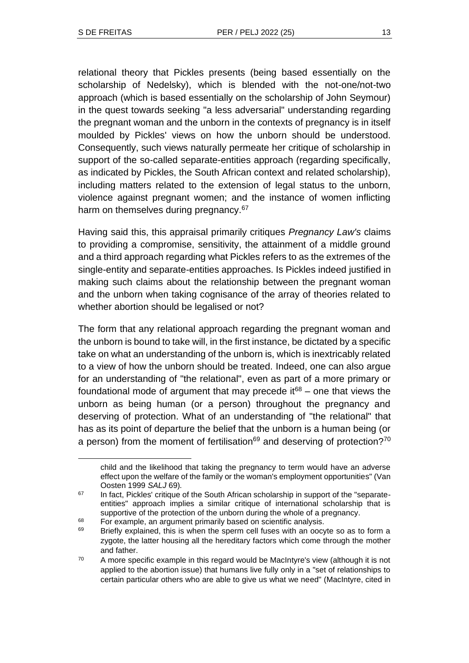relational theory that Pickles presents (being based essentially on the scholarship of Nedelsky), which is blended with the not-one/not-two approach (which is based essentially on the scholarship of John Seymour) in the quest towards seeking "a less adversarial" understanding regarding the pregnant woman and the unborn in the contexts of pregnancy is in itself moulded by Pickles' views on how the unborn should be understood. Consequently, such views naturally permeate her critique of scholarship in support of the so-called separate-entities approach (regarding specifically, as indicated by Pickles, the South African context and related scholarship), including matters related to the extension of legal status to the unborn, violence against pregnant women; and the instance of women inflicting harm on themselves during pregnancy.<sup>67</sup>

Having said this, this appraisal primarily critiques *Pregnancy Law's* claims to providing a compromise, sensitivity, the attainment of a middle ground and a third approach regarding what Pickles refers to as the extremes of the single-entity and separate-entities approaches. Is Pickles indeed justified in making such claims about the relationship between the pregnant woman and the unborn when taking cognisance of the array of theories related to whether abortion should be legalised or not?

The form that any relational approach regarding the pregnant woman and the unborn is bound to take will, in the first instance, be dictated by a specific take on what an understanding of the unborn is, which is inextricably related to a view of how the unborn should be treated. Indeed, one can also argue for an understanding of "the relational", even as part of a more primary or foundational mode of argument that may precede it $68 -$  one that views the unborn as being human (or a person) throughout the pregnancy and deserving of protection. What of an understanding of "the relational" that has as its point of departure the belief that the unborn is a human being (or a person) from the moment of fertilisation $69$  and deserving of protection?<sup>70</sup>

child and the likelihood that taking the pregnancy to term would have an adverse effect upon the welfare of the family or the woman's employment opportunities" (Van Oosten 1999 *SALJ* 69)*.*

<sup>&</sup>lt;sup>67</sup> In fact, Pickles' critique of the South African scholarship in support of the "separateentities" approach implies a similar critique of international scholarship that is supportive of the protection of the unborn during the whole of a pregnancy.

 $\frac{68}{2}$  For example, an argument primarily based on scientific analysis.<br> $\frac{69}{2}$  Briefly explained, this is when the sperm cell fuses with an oocy

Briefly explained, this is when the sperm cell fuses with an oocyte so as to form a zygote, the latter housing all the hereditary factors which come through the mother and father.

<sup>&</sup>lt;sup>70</sup> A more specific example in this regard would be MacIntyre's view (although it is not applied to the abortion issue) that humans live fully only in a "set of relationships to certain particular others who are able to give us what we need" (MacIntyre, cited in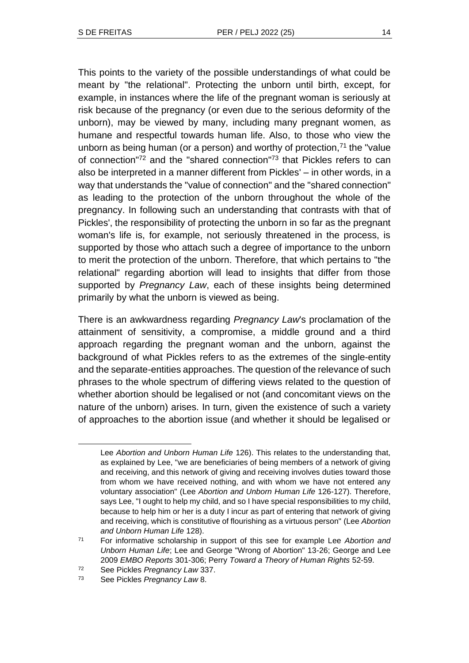This points to the variety of the possible understandings of what could be meant by "the relational". Protecting the unborn until birth, except, for example, in instances where the life of the pregnant woman is seriously at risk because of the pregnancy (or even due to the serious deformity of the unborn), may be viewed by many, including many pregnant women, as humane and respectful towards human life. Also, to those who view the unborn as being human (or a person) and worthy of protection, $<sup>71</sup>$  the "value</sup> of connection<sup>"72</sup> and the "shared connection"<sup>73</sup> that Pickles refers to can also be interpreted in a manner different from Pickles' – in other words, in a way that understands the "value of connection" and the "shared connection" as leading to the protection of the unborn throughout the whole of the pregnancy. In following such an understanding that contrasts with that of Pickles', the responsibility of protecting the unborn in so far as the pregnant woman's life is, for example, not seriously threatened in the process, is supported by those who attach such a degree of importance to the unborn to merit the protection of the unborn. Therefore, that which pertains to "the relational" regarding abortion will lead to insights that differ from those supported by *Pregnancy Law*, each of these insights being determined primarily by what the unborn is viewed as being.

There is an awkwardness regarding *Pregnancy Law*'s proclamation of the attainment of sensitivity, a compromise, a middle ground and a third approach regarding the pregnant woman and the unborn, against the background of what Pickles refers to as the extremes of the single-entity and the separate-entities approaches. The question of the relevance of such phrases to the whole spectrum of differing views related to the question of whether abortion should be legalised or not (and concomitant views on the nature of the unborn) arises. In turn, given the existence of such a variety of approaches to the abortion issue (and whether it should be legalised or

Lee *Abortion and Unborn Human Life* 126). This relates to the understanding that, as explained by Lee, "we are beneficiaries of being members of a network of giving and receiving, and this network of giving and receiving involves duties toward those from whom we have received nothing, and with whom we have not entered any voluntary association" (Lee *Abortion and Unborn Human Life* 126-127). Therefore, says Lee, "I ought to help my child, and so I have special responsibilities to my child, because to help him or her is a duty I incur as part of entering that network of giving and receiving, which is constitutive of flourishing as a virtuous person" (Lee *Abortion and Unborn Human Life* 128).

<sup>71</sup> For informative scholarship in support of this see for example Lee *Abortion and Unborn Human Life*; Lee and George "Wrong of Abortion" 13-26; George and Lee 2009 *EMBO Reports* 301-306; Perry *Toward a Theory of Human Rights* 52-59.

<sup>72</sup> See Pickles *Pregnancy Law* 337.

<sup>73</sup> See Pickles *Pregnancy Law* 8.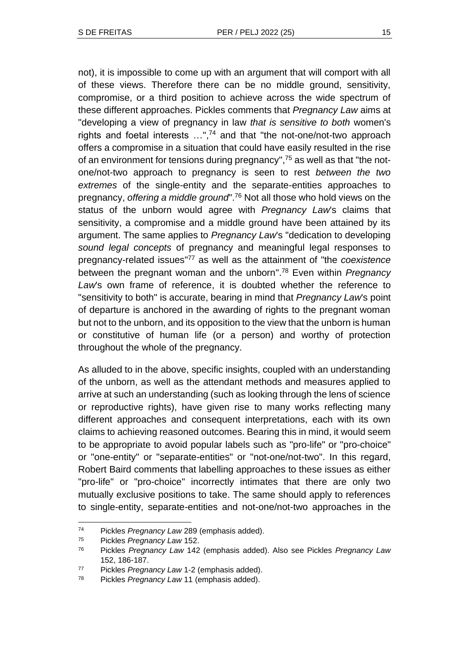not), it is impossible to come up with an argument that will comport with all of these views. Therefore there can be no middle ground, sensitivity, compromise, or a third position to achieve across the wide spectrum of these different approaches. Pickles comments that *Pregnancy Law* aims at "developing a view of pregnancy in law *that is sensitive to both* women's rights and foetal interests  $\ldots$ ,<sup>74</sup> and that "the not-one/not-two approach offers a compromise in a situation that could have easily resulted in the rise of an environment for tensions during pregnancy",<sup>75</sup> as well as that "the notone/not-two approach to pregnancy is seen to rest *between the two extremes* of the single-entity and the separate-entities approaches to pregnancy, *offering a middle ground*".<sup>76</sup> Not all those who hold views on the status of the unborn would agree with *Pregnancy Law*'s claims that sensitivity, a compromise and a middle ground have been attained by its argument. The same applies to *Pregnancy Law*'s "dedication to developing *sound legal concepts* of pregnancy and meaningful legal responses to pregnancy-related issues" <sup>77</sup> as well as the attainment of "the *coexistence* between the pregnant woman and the unborn". <sup>78</sup> Even within *Pregnancy Law*'s own frame of reference, it is doubted whether the reference to "sensitivity to both" is accurate, bearing in mind that *Pregnancy Law*'s point of departure is anchored in the awarding of rights to the pregnant woman but not to the unborn, and its opposition to the view that the unborn is human or constitutive of human life (or a person) and worthy of protection throughout the whole of the pregnancy.

As alluded to in the above, specific insights, coupled with an understanding of the unborn, as well as the attendant methods and measures applied to arrive at such an understanding (such as looking through the lens of science or reproductive rights), have given rise to many works reflecting many different approaches and consequent interpretations, each with its own claims to achieving reasoned outcomes. Bearing this in mind, it would seem to be appropriate to avoid popular labels such as "pro-life" or "pro-choice" or "one-entity" or "separate-entities" or "not-one/not-two". In this regard, Robert Baird comments that labelling approaches to these issues as either "pro-life" or "pro-choice" incorrectly intimates that there are only two mutually exclusive positions to take. The same should apply to references to single-entity, separate-entities and not-one/not-two approaches in the

<sup>74</sup> Pickles *Pregnancy Law* 289 (emphasis added).

<sup>75</sup> Pickles *Pregnancy Law* 152.

<sup>76</sup> Pickles *Pregnancy Law* 142 (emphasis added). Also see Pickles *Pregnancy Law* 152, 186-187.

<sup>77</sup> Pickles *Pregnancy Law* 1-2 (emphasis added).

<sup>78</sup> Pickles *Pregnancy Law* 11 (emphasis added).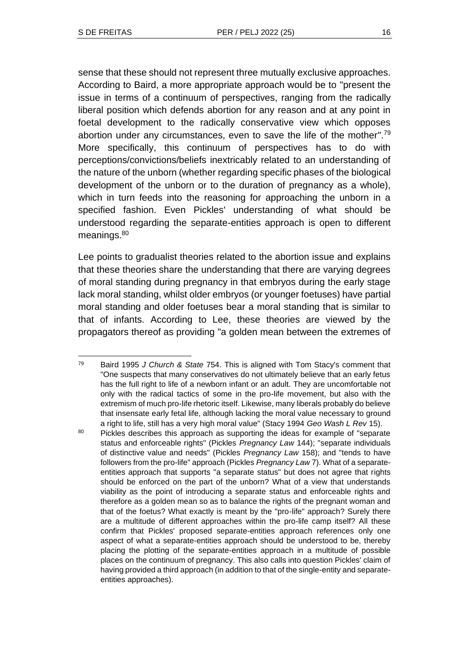sense that these should not represent three mutually exclusive approaches. According to Baird, a more appropriate approach would be to "present the issue in terms of a continuum of perspectives, ranging from the radically liberal position which defends abortion for any reason and at any point in foetal development to the radically conservative view which opposes abortion under any circumstances, even to save the life of the mother".<sup>79</sup> More specifically, this continuum of perspectives has to do with perceptions/convictions/beliefs inextricably related to an understanding of the nature of the unborn (whether regarding specific phases of the biological development of the unborn or to the duration of pregnancy as a whole), which in turn feeds into the reasoning for approaching the unborn in a specified fashion. Even Pickles' understanding of what should be understood regarding the separate-entities approach is open to different meanings.<sup>80</sup>

Lee points to gradualist theories related to the abortion issue and explains that these theories share the understanding that there are varying degrees of moral standing during pregnancy in that embryos during the early stage lack moral standing, whilst older embryos (or younger foetuses) have partial moral standing and older foetuses bear a moral standing that is similar to that of infants. According to Lee, these theories are viewed by the propagators thereof as providing "a golden mean between the extremes of

<sup>79</sup> Baird 1995 *J Church & State* 754. This is aligned with Tom Stacy's comment that "One suspects that many conservatives do not ultimately believe that an early fetus has the full right to life of a newborn infant or an adult. They are uncomfortable not only with the radical tactics of some in the pro-life movement, but also with the extremism of much pro-life rhetoric itself. Likewise, many liberals probably do believe that insensate early fetal life, although lacking the moral value necessary to ground a right to life, still has a very high moral value" (Stacy 1994 *Geo Wash L Rev* 15).

<sup>80</sup> Pickles describes this approach as supporting the ideas for example of "separate status and enforceable rights" (Pickles *Pregnancy Law* 144); "separate individuals of distinctive value and needs" (Pickles *Pregnancy Law* 158); and "tends to have followers from the pro-life" approach (Pickles *Pregnancy Law* 7). What of a separateentities approach that supports "a separate status" but does not agree that rights should be enforced on the part of the unborn? What of a view that understands viability as the point of introducing a separate status and enforceable rights and therefore as a golden mean so as to balance the rights of the pregnant woman and that of the foetus? What exactly is meant by the "pro-life" approach? Surely there are a multitude of different approaches within the pro-life camp itself? All these confirm that Pickles' proposed separate-entities approach references only one aspect of what a separate-entities approach should be understood to be, thereby placing the plotting of the separate-entities approach in a multitude of possible places on the continuum of pregnancy. This also calls into question Pickles' claim of having provided a third approach (in addition to that of the single-entity and separateentities approaches).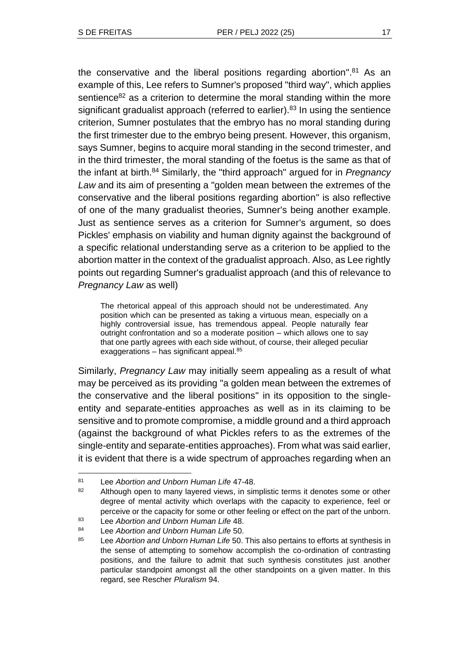the conservative and the liberal positions regarding abortion".<sup>81</sup> As an example of this, Lee refers to Sumner's proposed "third way", which applies sentience $82$  as a criterion to determine the moral standing within the more significant gradualist approach (referred to earlier).<sup>83</sup> In using the sentience criterion, Sumner postulates that the embryo has no moral standing during the first trimester due to the embryo being present. However, this organism, says Sumner, begins to acquire moral standing in the second trimester, and in the third trimester, the moral standing of the foetus is the same as that of the infant at birth.<sup>84</sup> Similarly, the "third approach" argued for in *Pregnancy Law* and its aim of presenting a "golden mean between the extremes of the conservative and the liberal positions regarding abortion" is also reflective of one of the many gradualist theories, Sumner's being another example. Just as sentience serves as a criterion for Sumner's argument, so does Pickles' emphasis on viability and human dignity against the background of a specific relational understanding serve as a criterion to be applied to the abortion matter in the context of the gradualist approach. Also, as Lee rightly points out regarding Sumner's gradualist approach (and this of relevance to *Pregnancy Law* as well)

The rhetorical appeal of this approach should not be underestimated. Any position which can be presented as taking a virtuous mean, especially on a highly controversial issue, has tremendous appeal. People naturally fear outright confrontation and so a moderate position – which allows one to say that one partly agrees with each side without, of course, their alleged peculiar exaggerations – has significant appeal.<sup>85</sup>

Similarly, *Pregnancy Law* may initially seem appealing as a result of what may be perceived as its providing "a golden mean between the extremes of the conservative and the liberal positions" in its opposition to the singleentity and separate-entities approaches as well as in its claiming to be sensitive and to promote compromise, a middle ground and a third approach (against the background of what Pickles refers to as the extremes of the single-entity and separate-entities approaches). From what was said earlier, it is evident that there is a wide spectrum of approaches regarding when an

<sup>81</sup> Lee *Abortion and Unborn Human Life* 47-48.

<sup>82</sup> Although open to many layered views, in simplistic terms it denotes some or other degree of mental activity which overlaps with the capacity to experience, feel or perceive or the capacity for some or other feeling or effect on the part of the unborn.

<sup>83</sup> Lee *Abortion and Unborn Human Life* 48.

<sup>84</sup> Lee *Abortion and Unborn Human Life* 50.

<sup>85</sup> Lee *Abortion and Unborn Human Life* 50. This also pertains to efforts at synthesis in the sense of attempting to somehow accomplish the co-ordination of contrasting positions, and the failure to admit that such synthesis constitutes just another particular standpoint amongst all the other standpoints on a given matter. In this regard, see Rescher *Pluralism* 94.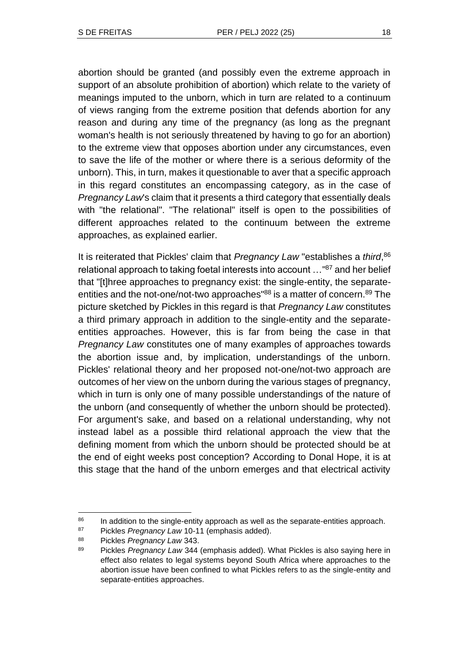abortion should be granted (and possibly even the extreme approach in support of an absolute prohibition of abortion) which relate to the variety of meanings imputed to the unborn, which in turn are related to a continuum of views ranging from the extreme position that defends abortion for any reason and during any time of the pregnancy (as long as the pregnant woman's health is not seriously threatened by having to go for an abortion) to the extreme view that opposes abortion under any circumstances, even to save the life of the mother or where there is a serious deformity of the unborn). This, in turn, makes it questionable to aver that a specific approach in this regard constitutes an encompassing category, as in the case of *Pregnancy Law*'s claim that it presents a third category that essentially deals with "the relational". "The relational" itself is open to the possibilities of different approaches related to the continuum between the extreme approaches, as explained earlier.

It is reiterated that Pickles' claim that *Pregnancy Law* "establishes a *third*, 86 relational approach to taking foetal interests into account ..."<sup>87</sup> and her belief that "[t]hree approaches to pregnancy exist: the single-entity, the separateentities and the not-one/not-two approaches"<sup>88</sup> is a matter of concern.<sup>89</sup> The picture sketched by Pickles in this regard is that *Pregnancy Law* constitutes a third primary approach in addition to the single-entity and the separateentities approaches. However, this is far from being the case in that *Pregnancy Law* constitutes one of many examples of approaches towards the abortion issue and, by implication, understandings of the unborn. Pickles' relational theory and her proposed not-one/not-two approach are outcomes of her view on the unborn during the various stages of pregnancy, which in turn is only one of many possible understandings of the nature of the unborn (and consequently of whether the unborn should be protected). For argument's sake, and based on a relational understanding, why not instead label as a possible third relational approach the view that the defining moment from which the unborn should be protected should be at the end of eight weeks post conception? According to Donal Hope, it is at this stage that the hand of the unborn emerges and that electrical activity

<sup>86</sup> In addition to the single-entity approach as well as the separate-entities approach.

<sup>87</sup> Pickles *Pregnancy Law* 10-11 (emphasis added).

<sup>88</sup> Pickles *Pregnancy Law* 343.

<sup>89</sup> Pickles *Pregnancy Law* 344 (emphasis added). What Pickles is also saying here in effect also relates to legal systems beyond South Africa where approaches to the abortion issue have been confined to what Pickles refers to as the single-entity and separate-entities approaches.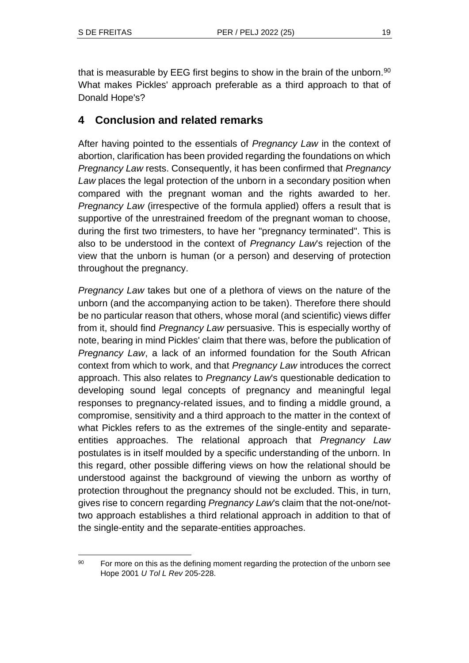that is measurable by EEG first begins to show in the brain of the unborn.<sup>90</sup> What makes Pickles' approach preferable as a third approach to that of Donald Hope's?

# **4 Conclusion and related remarks**

After having pointed to the essentials of *Pregnancy Law* in the context of abortion, clarification has been provided regarding the foundations on which *Pregnancy Law* rests. Consequently, it has been confirmed that *Pregnancy Law* places the legal protection of the unborn in a secondary position when compared with the pregnant woman and the rights awarded to her. *Pregnancy Law* (irrespective of the formula applied) offers a result that is supportive of the unrestrained freedom of the pregnant woman to choose, during the first two trimesters, to have her "pregnancy terminated". This is also to be understood in the context of *Pregnancy Law*'s rejection of the view that the unborn is human (or a person) and deserving of protection throughout the pregnancy.

*Pregnancy Law* takes but one of a plethora of views on the nature of the unborn (and the accompanying action to be taken). Therefore there should be no particular reason that others, whose moral (and scientific) views differ from it, should find *Pregnancy Law* persuasive. This is especially worthy of note, bearing in mind Pickles' claim that there was, before the publication of *Pregnancy Law*, a lack of an informed foundation for the South African context from which to work, and that *Pregnancy Law* introduces the correct approach. This also relates to *Pregnancy Law*'s questionable dedication to developing sound legal concepts of pregnancy and meaningful legal responses to pregnancy-related issues, and to finding a middle ground, a compromise, sensitivity and a third approach to the matter in the context of what Pickles refers to as the extremes of the single-entity and separateentities approaches. The relational approach that *Pregnancy Law* postulates is in itself moulded by a specific understanding of the unborn. In this regard, other possible differing views on how the relational should be understood against the background of viewing the unborn as worthy of protection throughout the pregnancy should not be excluded. This, in turn, gives rise to concern regarding *Pregnancy Law*'s claim that the not-one/nottwo approach establishes a third relational approach in addition to that of the single-entity and the separate-entities approaches.

 $90$  For more on this as the defining moment regarding the protection of the unborn see Hope 2001 *U Tol L Rev* 205-228.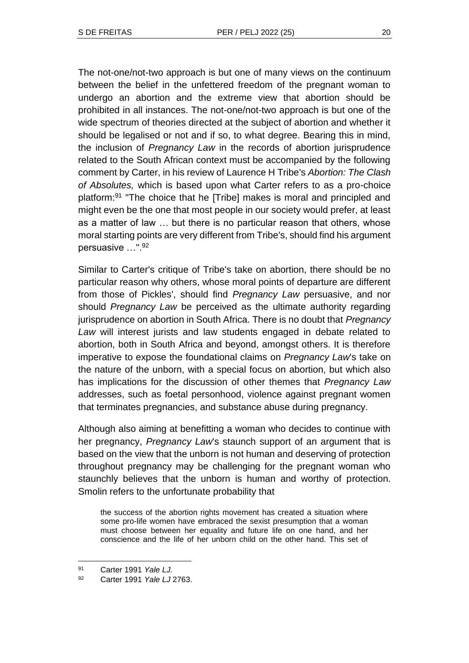The not-one/not-two approach is but one of many views on the continuum between the belief in the unfettered freedom of the pregnant woman to undergo an abortion and the extreme view that abortion should be prohibited in all instances. The not-one/not-two approach is but one of the wide spectrum of theories directed at the subject of abortion and whether it should be legalised or not and if so, to what degree. Bearing this in mind, the inclusion of *Pregnancy Law* in the records of abortion jurisprudence related to the South African context must be accompanied by the following comment by Carter, in his review of Laurence H Tribe's *Abortion: The Clash of Absolutes,* which is based upon what Carter refers to as a pro-choice platform:<sup>91</sup> "The choice that he [Tribe] makes is moral and principled and might even be the one that most people in our society would prefer, at least as a matter of law … but there is no particular reason that others, whose moral starting points are very different from Tribe's, should find his argument persuasive …".<sup>92</sup>

Similar to Carter's critique of Tribe's take on abortion, there should be no particular reason why others, whose moral points of departure are different from those of Pickles', should find *Pregnancy Law* persuasive, and nor should *Pregnancy Law* be perceived as the ultimate authority regarding jurisprudence on abortion in South Africa. There is no doubt that *Pregnancy Law* will interest jurists and law students engaged in debate related to abortion, both in South Africa and beyond, amongst others. It is therefore imperative to expose the foundational claims on *Pregnancy Law*'s take on the nature of the unborn, with a special focus on abortion, but which also has implications for the discussion of other themes that *Pregnancy Law* addresses, such as foetal personhood, violence against pregnant women that terminates pregnancies, and substance abuse during pregnancy.

Although also aiming at benefitting a woman who decides to continue with her pregnancy, *Pregnancy Law*'s staunch support of an argument that is based on the view that the unborn is not human and deserving of protection throughout pregnancy may be challenging for the pregnant woman who staunchly believes that the unborn is human and worthy of protection. Smolin refers to the unfortunate probability that

the success of the abortion rights movement has created a situation where some pro-life women have embraced the sexist presumption that a woman must choose between her equality and future life on one hand, and her conscience and the life of her unborn child on the other hand. This set of

<sup>91</sup> Carter 1991 *Yale LJ.*

<sup>92</sup> Carter 1991 *Yale LJ* 2763.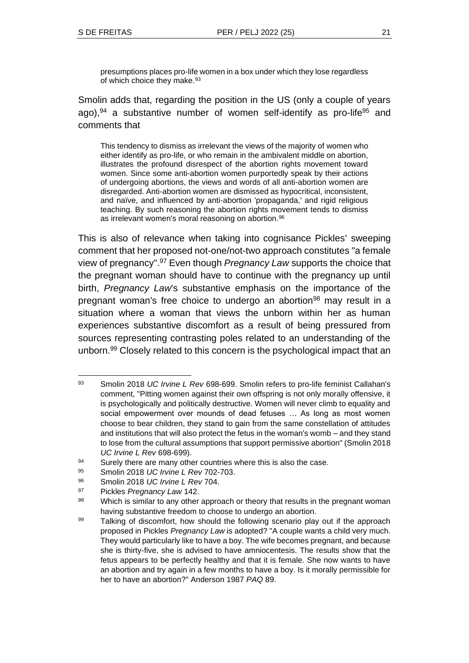presumptions places pro-life women in a box under which they lose regardless of which choice they make.<sup>93</sup>

Smolin adds that, regarding the position in the US (only a couple of years ago),  $94$  a substantive number of women self-identify as pro-life  $95$  and comments that

This tendency to dismiss as irrelevant the views of the majority of women who either identify as pro-life, or who remain in the ambivalent middle on abortion, illustrates the profound disrespect of the abortion rights movement toward women. Since some anti-abortion women purportedly speak by their actions of undergoing abortions, the views and words of all anti-abortion women are disregarded. Anti-abortion women are dismissed as hypocritical, inconsistent, and naïve, and influenced by anti-abortion 'propaganda,' and rigid religious teaching. By such reasoning the abortion rights movement tends to dismiss as irrelevant women's moral reasoning on abortion.<sup>96</sup>

This is also of relevance when taking into cognisance Pickles' sweeping comment that her proposed not-one/not-two approach constitutes "a female view of pregnancy". <sup>97</sup> Even though *Pregnancy Law* supports the choice that the pregnant woman should have to continue with the pregnancy up until birth, *Pregnancy Law*'s substantive emphasis on the importance of the pregnant woman's free choice to undergo an abortion<sup>98</sup> may result in a situation where a woman that views the unborn within her as human experiences substantive discomfort as a result of being pressured from sources representing contrasting poles related to an understanding of the unborn.<sup>99</sup> Closely related to this concern is the psychological impact that an

<sup>93</sup> Smolin 2018 *UC Irvine L Rev* 698-699. Smolin refers to pro-life feminist Callahan's comment, "Pitting women against their own offspring is not only morally offensive, it is psychologically and politically destructive. Women will never climb to equality and social empowerment over mounds of dead fetuses … As long as most women choose to bear children, they stand to gain from the same constellation of attitudes and institutions that will also protect the fetus in the woman's womb – and they stand to lose from the cultural assumptions that support permissive abortion" (Smolin 2018 *UC Irvine L Rev* 698-699).

 $94$  Surely there are many other countries where this is also the case.

<sup>95</sup> Smolin 2018 *UC Irvine L Rev* 702-703.

<sup>96</sup> Smolin 2018 *UC Irvine L Rev* 704.

<sup>97</sup> Pickles *Pregnancy Law* 142.

<sup>98</sup> Which is similar to any other approach or theory that results in the pregnant woman having substantive freedom to choose to undergo an abortion.

<sup>99</sup> Talking of discomfort, how should the following scenario play out if the approach proposed in Pickles *Pregnancy Law* is adopted? "A couple wants a child very much. They would particularly like to have a boy. The wife becomes pregnant, and because she is thirty-five, she is advised to have amniocentesis. The results show that the fetus appears to be perfectly healthy and that it is female. She now wants to have an abortion and try again in a few months to have a boy. Is it morally permissible for her to have an abortion?" Anderson 1987 *PAQ* 89.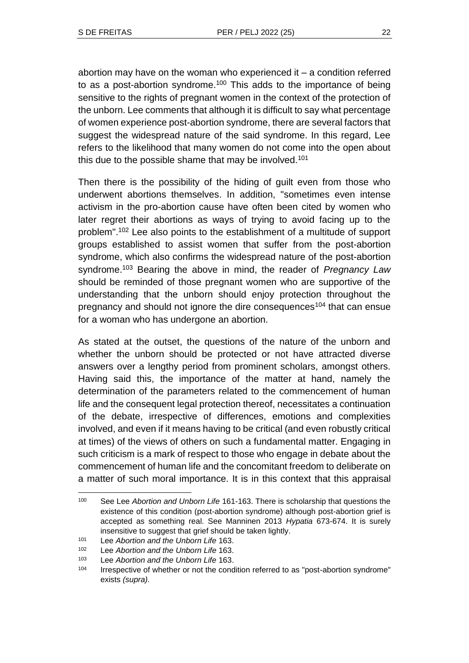abortion may have on the woman who experienced it  $-$  a condition referred to as a post-abortion syndrome.<sup>100</sup> This adds to the importance of being sensitive to the rights of pregnant women in the context of the protection of the unborn. Lee comments that although it is difficult to say what percentage of women experience post-abortion syndrome, there are several factors that suggest the widespread nature of the said syndrome. In this regard, Lee refers to the likelihood that many women do not come into the open about this due to the possible shame that may be involved.<sup>101</sup>

Then there is the possibility of the hiding of guilt even from those who underwent abortions themselves. In addition, "sometimes even intense activism in the pro-abortion cause have often been cited by women who later regret their abortions as ways of trying to avoid facing up to the problem". <sup>102</sup> Lee also points to the establishment of a multitude of support groups established to assist women that suffer from the post-abortion syndrome, which also confirms the widespread nature of the post-abortion syndrome.<sup>103</sup> Bearing the above in mind, the reader of *Pregnancy Law* should be reminded of those pregnant women who are supportive of the understanding that the unborn should enjoy protection throughout the pregnancy and should not ignore the dire consequences<sup>104</sup> that can ensue for a woman who has undergone an abortion.

As stated at the outset, the questions of the nature of the unborn and whether the unborn should be protected or not have attracted diverse answers over a lengthy period from prominent scholars, amongst others. Having said this, the importance of the matter at hand, namely the determination of the parameters related to the commencement of human life and the consequent legal protection thereof, necessitates a continuation of the debate, irrespective of differences, emotions and complexities involved, and even if it means having to be critical (and even robustly critical at times) of the views of others on such a fundamental matter. Engaging in such criticism is a mark of respect to those who engage in debate about the commencement of human life and the concomitant freedom to deliberate on a matter of such moral importance. It is in this context that this appraisal

<sup>100</sup> See Lee *Abortion and Unborn Life* 161-163. There is scholarship that questions the existence of this condition (post-abortion syndrome) although post-abortion grief is accepted as something real. See Manninen 2013 *Hypatia* 673-674. It is surely insensitive to suggest that grief should be taken lightly.

<sup>101</sup> Lee *Abortion and the Unborn Life* 163.

<sup>102</sup> Lee *Abortion and the Unborn Life* 163.

<sup>103</sup> Lee *Abortion and the Unborn Life* 163.

<sup>&</sup>lt;sup>104</sup> Irrespective of whether or not the condition referred to as "post-abortion syndrome" exists *(supra).*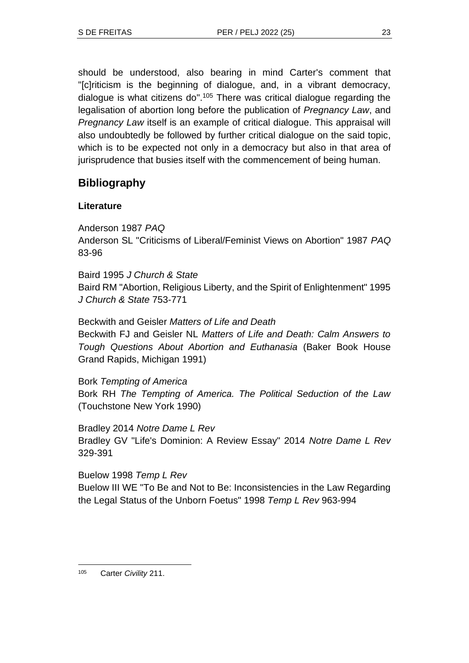should be understood, also bearing in mind Carter's comment that "[c]riticism is the beginning of dialogue, and, in a vibrant democracy, dialogue is what citizens do". <sup>105</sup> There was critical dialogue regarding the legalisation of abortion long before the publication of *Pregnancy Law*, and *Pregnancy Law* itself is an example of critical dialogue. This appraisal will also undoubtedly be followed by further critical dialogue on the said topic, which is to be expected not only in a democracy but also in that area of jurisprudence that busies itself with the commencement of being human.

# **Bibliography**

## **Literature**

Anderson 1987 *PAQ* Anderson SL "Criticisms of Liberal/Feminist Views on Abortion" 1987 *PAQ* 83-96

Baird 1995 *J Church & State* Baird RM "Abortion, Religious Liberty, and the Spirit of Enlightenment" 1995 *J Church & State* 753-771

Beckwith and Geisler *Matters of Life and Death* Beckwith FJ and Geisler NL *Matters of Life and Death: Calm Answers to Tough Questions About Abortion and Euthanasia* (Baker Book House Grand Rapids, Michigan 1991)

Bork *Tempting of America* Bork RH *The Tempting of America. The Political Seduction of the Law* (Touchstone New York 1990)

Bradley 2014 *Notre Dame L Rev* Bradley GV "Life's Dominion: A Review Essay" 2014 *Notre Dame L Rev* 329-391

Buelow 1998 *Temp L Rev*

Buelow III WE "To Be and Not to Be: Inconsistencies in the Law Regarding the Legal Status of the Unborn Foetus" 1998 *Temp L Rev* 963-994

<sup>105</sup> Carter *Civility* 211.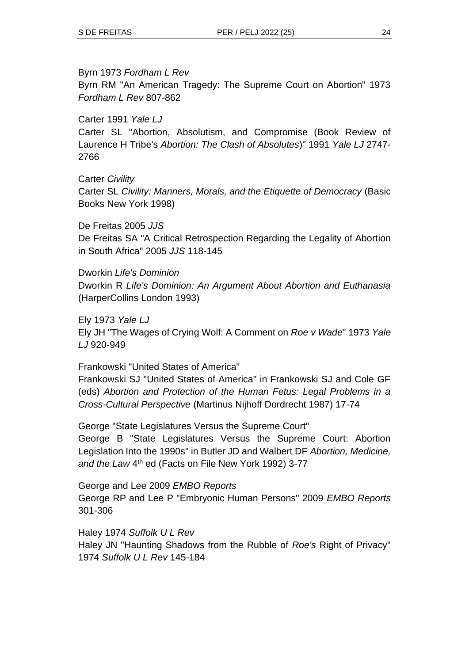Byrn 1973 *Fordham L Rev*

Byrn RM "An American Tragedy: The Supreme Court on Abortion" 1973 *Fordham L Rev* 807-862

Carter 1991 *Yale LJ*

Carter SL "Abortion, Absolutism, and Compromise (Book Review of Laurence H Tribe's *Abortion: The Clash of Absolutes*)" 1991 *Yale LJ* 2747- 2766

Carter *Civility* Carter SL *Civility: Manners, Morals, and the Etiquette of Democracy* (Basic Books New York 1998)

De Freitas 2005 *JJS* De Freitas SA "A Critical Retrospection Regarding the Legality of Abortion in South Africa" 2005 *JJS* 118-145

Dworkin *Life's Dominion* Dworkin R *Life's Dominion: An Argument About Abortion and Euthanasia* (HarperCollins London 1993)

Ely 1973 *Yale LJ* Ely JH "The Wages of Crying Wolf: A Comment on *Roe v Wade*" 1973 *Yale LJ* 920-949

Frankowski "United States of America"

Frankowski SJ "United States of America" in Frankowski SJ and Cole GF (eds) *Abortion and Protection of the Human Fetus: Legal Problems in a Cross-Cultural Perspective* (Martinus Nijhoff Dordrecht 1987) 17-74

George "State Legislatures Versus the Supreme Court"

George B "State Legislatures Versus the Supreme Court: Abortion Legislation Into the 1990s" in Butler JD and Walbert DF *Abortion, Medicine,*  and the Law 4<sup>th</sup> ed (Facts on File New York 1992) 3-77

George and Lee 2009 *EMBO Reports* George RP and Lee P "Embryonic Human Persons" 2009 *EMBO Reports* 301-306

Haley 1974 *Suffolk U L Rev* Haley JN "Haunting Shadows from the Rubble of *Roe's* Right of Privacy" 1974 *Suffolk U L Rev* 145-184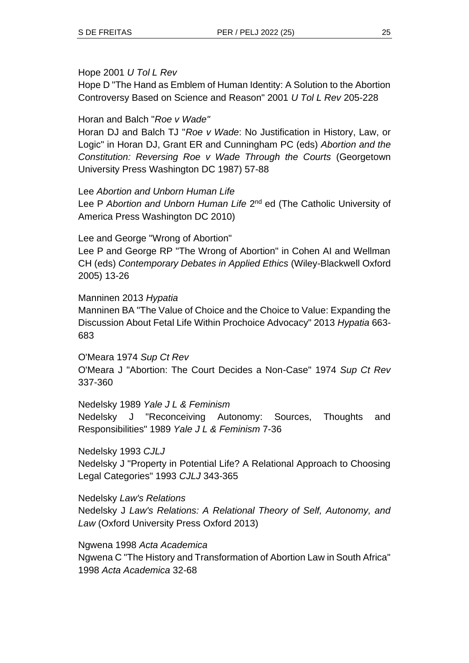#### Hope 2001 *U Tol L Rev*

Hope D "The Hand as Emblem of Human Identity: A Solution to the Abortion Controversy Based on Science and Reason" 2001 *U Tol L Rev* 205-228

Horan and Balch "*Roe v Wade"*

Horan DJ and Balch TJ "*Roe v Wade*: No Justification in History, Law, or Logic" in Horan DJ, Grant ER and Cunningham PC (eds) *Abortion and the Constitution: Reversing Roe v Wade Through the Courts* (Georgetown University Press Washington DC 1987) 57-88

### Lee *Abortion and Unborn Human Life*

Lee P Abortion and Unborn Human Life 2<sup>nd</sup> ed (The Catholic University of America Press Washington DC 2010)

### Lee and George "Wrong of Abortion"

Lee P and George RP "The Wrong of Abortion" in Cohen AI and Wellman CH (eds) *Contemporary Debates in Applied Ethics* (Wiley-Blackwell Oxford 2005) 13-26

### Manninen 2013 *Hypatia*

Manninen BA "The Value of Choice and the Choice to Value: Expanding the Discussion About Fetal Life Within Prochoice Advocacy" 2013 *Hypatia* 663- 683

O'Meara 1974 *Sup Ct Rev* O'Meara J "Abortion: The Court Decides a Non-Case" 1974 *Sup Ct Rev* 337-360

Nedelsky 1989 *Yale J L & Feminism* Nedelsky J "Reconceiving Autonomy: Sources, Thoughts and Responsibilities" 1989 *Yale J L & Feminism* 7-36

Nedelsky 1993 *CJLJ* Nedelsky J "Property in Potential Life? A Relational Approach to Choosing Legal Categories" 1993 *CJLJ* 343-365

## Nedelsky *Law's Relations* Nedelsky J *Law's Relations: A Relational Theory of Self, Autonomy, and Law* (Oxford University Press Oxford 2013)

Ngwena 1998 *Acta Academica* Ngwena C "The History and Transformation of Abortion Law in South Africa" 1998 *Acta Academica* 32-68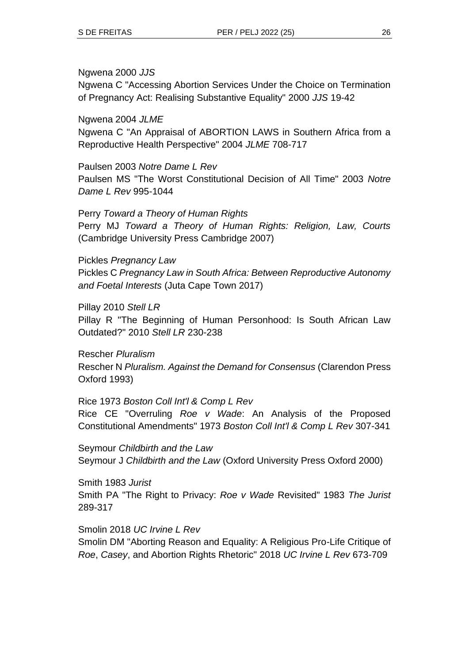#### Ngwena 2000 *JJS*

Ngwena C "Accessing Abortion Services Under the Choice on Termination of Pregnancy Act: Realising Substantive Equality" 2000 *JJS* 19-42

#### Ngwena 2004 *JLME*

Ngwena C "An Appraisal of ABORTION LAWS in Southern Africa from a Reproductive Health Perspective" 2004 *JLME* 708-717

#### Paulsen 2003 *Notre Dame L Rev*

Paulsen MS "The Worst Constitutional Decision of All Time" 2003 *Notre Dame L Rev* 995-1044

## Perry *Toward a Theory of Human Rights*

Perry MJ *Toward a Theory of Human Rights: Religion, Law, Courts* (Cambridge University Press Cambridge 2007)

#### Pickles *Pregnancy Law*

Pickles C *Pregnancy Law in South Africa: Between Reproductive Autonomy and Foetal Interests* (Juta Cape Town 2017)

Pillay 2010 *Stell LR*

Pillay R "The Beginning of Human Personhood: Is South African Law Outdated?" 2010 *Stell LR* 230-238

Rescher *Pluralism* Rescher N *Pluralism. Against the Demand for Consensus* (Clarendon Press Oxford 1993)

Rice 1973 *Boston Coll Int'l & Comp L Rev* Rice CE "Overruling *Roe v Wade*: An Analysis of the Proposed Constitutional Amendments" 1973 *Boston Coll Int'l & Comp L Rev* 307-341

Seymour *Childbirth and the Law* Seymour J *Childbirth and the Law* (Oxford University Press Oxford 2000)

Smith 1983 *Jurist* Smith PA "The Right to Privacy: *Roe v Wade* Revisited" 1983 *The Jurist* 289-317

Smolin 2018 *UC Irvine L Rev*

Smolin DM "Aborting Reason and Equality: A Religious Pro-Life Critique of *Roe*, *Casey*, and Abortion Rights Rhetoric" 2018 *UC Irvine L Rev* 673-709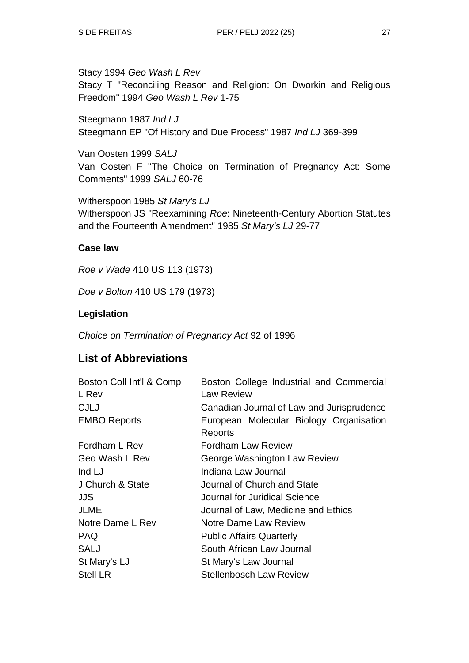Stacy 1994 *Geo Wash L Rev* Stacy T "Reconciling Reason and Religion: On Dworkin and Religious Freedom" 1994 *Geo Wash L Rev* 1-75

Steegmann 1987 *Ind LJ* Steegmann EP "Of History and Due Process" 1987 *Ind LJ* 369-399

Van Oosten 1999 *SALJ* Van Oosten F "The Choice on Termination of Pregnancy Act: Some Comments" 1999 *SALJ* 60-76

Witherspoon 1985 *St Mary's LJ* Witherspoon JS "Reexamining *Roe*: Nineteenth-Century Abortion Statutes and the Fourteenth Amendment" 1985 *St Mary's LJ* 29-77

## **Case law**

*Roe v Wade* 410 US 113 (1973)

*Doe v Bolton* 410 US 179 (1973)

### **Legislation**

*Choice on Termination of Pregnancy Act* 92 of 1996

# **List of Abbreviations**

| Boston College Industrial and Commercial  |
|-------------------------------------------|
| <b>Law Review</b>                         |
| Canadian Journal of Law and Jurisprudence |
| European Molecular Biology Organisation   |
| Reports                                   |
| <b>Fordham Law Review</b>                 |
| George Washington Law Review              |
| Indiana Law Journal                       |
| Journal of Church and State               |
| Journal for Juridical Science             |
| Journal of Law, Medicine and Ethics       |
| <b>Notre Dame Law Review</b>              |
| <b>Public Affairs Quarterly</b>           |
| South African Law Journal                 |
| St Mary's Law Journal                     |
| <b>Stellenbosch Law Review</b>            |
|                                           |